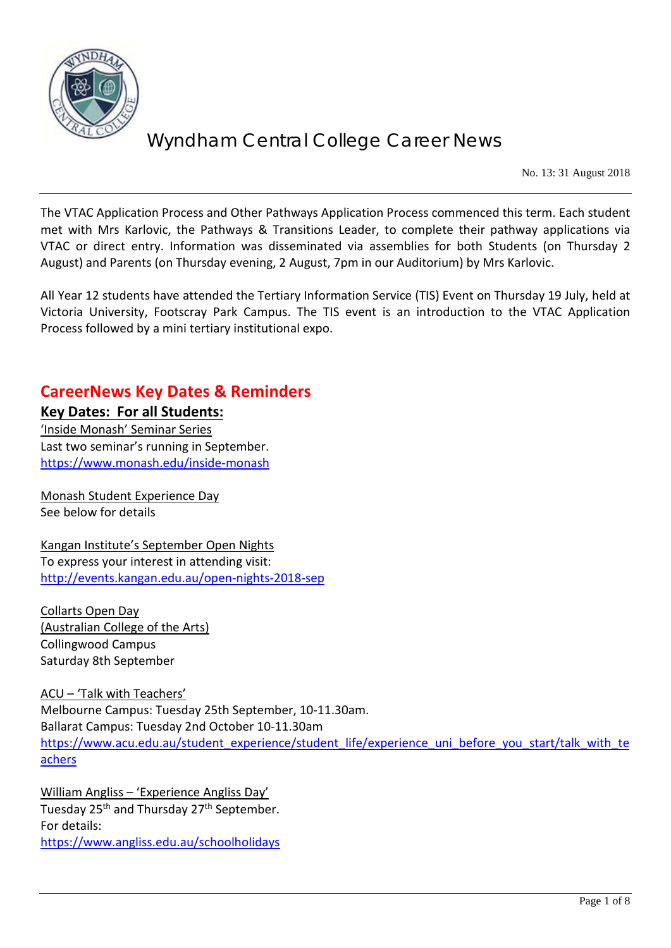

No. 13: 31 August 2018

The VTAC Application Process and Other Pathways Application Process commenced this term. Each student met with Mrs Karlovic, the Pathways & Transitions Leader, to complete their pathway applications via VTAC or direct entry. Information was disseminated via assemblies for both Students (on Thursday 2 August) and Parents (on Thursday evening, 2 August, 7pm in our Auditorium) by Mrs Karlovic.

All Year 12 students have attended the Tertiary Information Service (TIS) Event on Thursday 19 July, held at Victoria University, Footscray Park Campus. The TIS event is an introduction to the VTAC Application Process followed by a mini tertiary institutional expo.

### **CareerNews Key Dates & Reminders**

**Key Dates: For all Students:** 'Inside Monash' Seminar Series Last two seminar's running in September. <https://www.monash.edu/inside-monash>

Monash Student Experience Day See below for details

Kangan Institute's September Open Nights To express your interest in attending visit: <http://events.kangan.edu.au/open-nights-2018-sep>

Collarts Open Day (Australian College of the Arts) Collingwood Campus Saturday 8th September

ACU – 'Talk with Teachers' Melbourne Campus: Tuesday 25th September, 10-11.30am. Ballarat Campus: Tuesday 2nd October 10-11.30am [https://www.acu.edu.au/student\\_experience/student\\_life/experience\\_uni\\_before\\_you\\_start/talk\\_with\\_te](https://www.acu.edu.au/student_experience/student_life/experience_uni_before_you_start/talk_with_teachers) [achers](https://www.acu.edu.au/student_experience/student_life/experience_uni_before_you_start/talk_with_teachers)

William Angliss – 'Experience Angliss Day' Tuesday 25<sup>th</sup> and Thursday 27<sup>th</sup> September. For details: <https://www.angliss.edu.au/schoolholidays>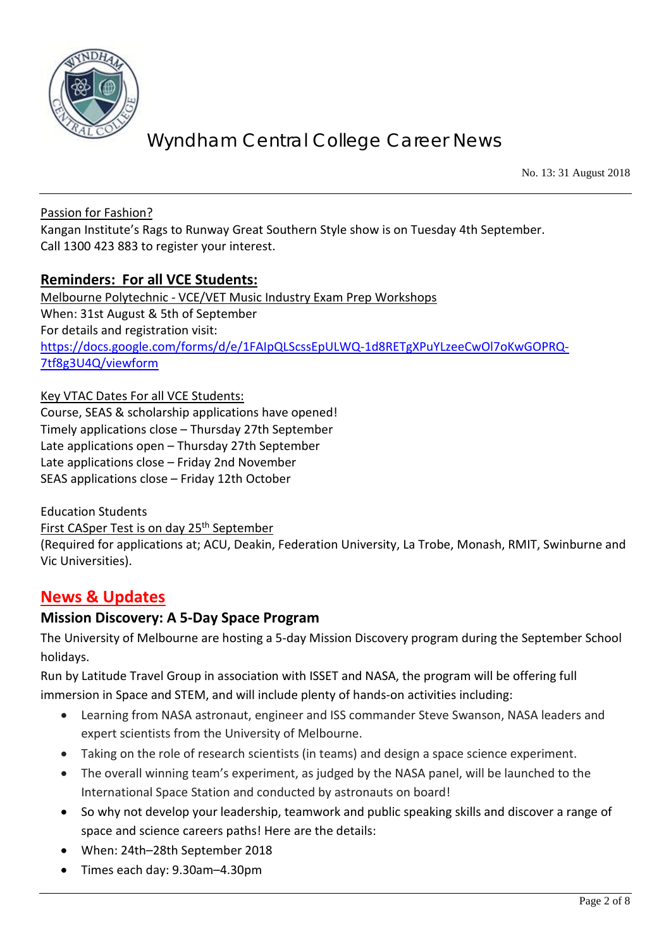

No. 13: 31 August 2018

Passion for Fashion?

Kangan Institute's Rags to Runway Great Southern Style show is on Tuesday 4th September. Call 1300 423 883 to register your interest.

#### **Reminders: For all VCE Students:**

Melbourne Polytechnic - VCE/VET Music Industry Exam Prep Workshops When: 31st August & 5th of September For details and registration visit: [https://docs.google.com/forms/d/e/1FAIpQLScssEpULWQ-1d8RETgXPuYLzeeCwOl7oKwGOPRQ-](https://docs.google.com/forms/d/e/1FAIpQLScssEpULWQ-1d8RETgXPuYLzeeCwOl7oKwGOPRQ-7tf8g3U4Q/viewform)[7tf8g3U4Q/viewform](https://docs.google.com/forms/d/e/1FAIpQLScssEpULWQ-1d8RETgXPuYLzeeCwOl7oKwGOPRQ-7tf8g3U4Q/viewform)

Key VTAC Dates For all VCE Students:

Course, SEAS & scholarship applications have opened! Timely applications close – Thursday 27th September Late applications open – Thursday 27th September Late applications close – Friday 2nd November SEAS applications close – Friday 12th October

Education Students

First CASper Test is on day 25<sup>th</sup> September

(Required for applications at; ACU, Deakin, Federation University, La Trobe, Monash, RMIT, Swinburne and Vic Universities).

### **News & Updates**

#### **Mission Discovery: A 5-Day Space Program**

The University of Melbourne are hosting a 5-day Mission Discovery program during the September School holidays.

Run by Latitude Travel Group in association with ISSET and NASA, the program will be offering full immersion in Space and STEM, and will include plenty of hands-on activities including:

- Learning from NASA astronaut, engineer and ISS commander Steve Swanson, NASA leaders and expert scientists from the University of Melbourne.
- Taking on the role of research scientists (in teams) and design a space science experiment.
- The overall winning team's experiment, as judged by the NASA panel, will be launched to the International Space Station and conducted by astronauts on board!
- So why not develop your leadership, teamwork and public speaking skills and discover a range of space and science careers paths! Here are the details:
- When: 24th–28th September 2018
- Times each day: 9.30am–4.30pm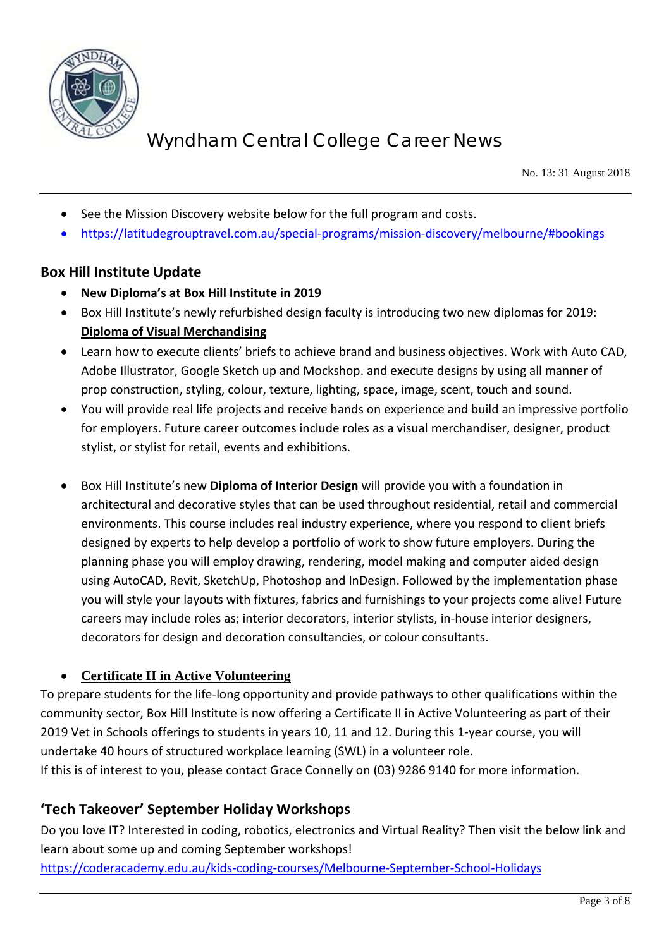

No. 13: 31 August 2018

- See the Mission Discovery website below for the full program and costs.
- <https://latitudegrouptravel.com.au/special-programs/mission-discovery/melbourne/#bookings>

#### **Box Hill Institute Update**

- **New Diploma's at Box Hill Institute in 2019**
- Box Hill Institute's newly refurbished design faculty is introducing two new diplomas for 2019: **Diploma of Visual Merchandising**
- Learn how to execute clients' briefs to achieve brand and business objectives. Work with Auto CAD, Adobe Illustrator, Google Sketch up and Mockshop. and execute designs by using all manner of prop construction, styling, colour, texture, lighting, space, image, scent, touch and sound.
- You will provide real life projects and receive hands on experience and build an impressive portfolio for employers. Future career outcomes include roles as a visual merchandiser, designer, product stylist, or stylist for retail, events and exhibitions.
- Box Hill Institute's new **Diploma of Interior Design** will provide you with a foundation in architectural and decorative styles that can be used throughout residential, retail and commercial environments. This course includes real industry experience, where you respond to client briefs designed by experts to help develop a portfolio of work to show future employers. During the planning phase you will employ drawing, rendering, model making and computer aided design using AutoCAD, Revit, SketchUp, Photoshop and InDesign. Followed by the implementation phase you will style your layouts with fixtures, fabrics and furnishings to your projects come alive! Future careers may include roles as; interior decorators, interior stylists, in-house interior designers, decorators for design and decoration consultancies, or colour consultants.

#### • **Certificate II in Active Volunteering**

To prepare students for the life-long opportunity and provide pathways to other qualifications within the community sector, Box Hill Institute is now offering a Certificate II in Active Volunteering as part of their 2019 Vet in Schools offerings to students in years 10, 11 and 12. During this 1-year course, you will undertake 40 hours of structured workplace learning (SWL) in a volunteer role. If this is of interest to you, please contact Grace Connelly on (03) 9286 9140 for more information.

### **'Tech Takeover' September Holiday Workshops**

Do you love IT? Interested in coding, robotics, electronics and Virtual Reality? Then visit the below link and learn about some up and coming September workshops! <https://coderacademy.edu.au/kids-coding-courses/Melbourne-September-School-Holidays>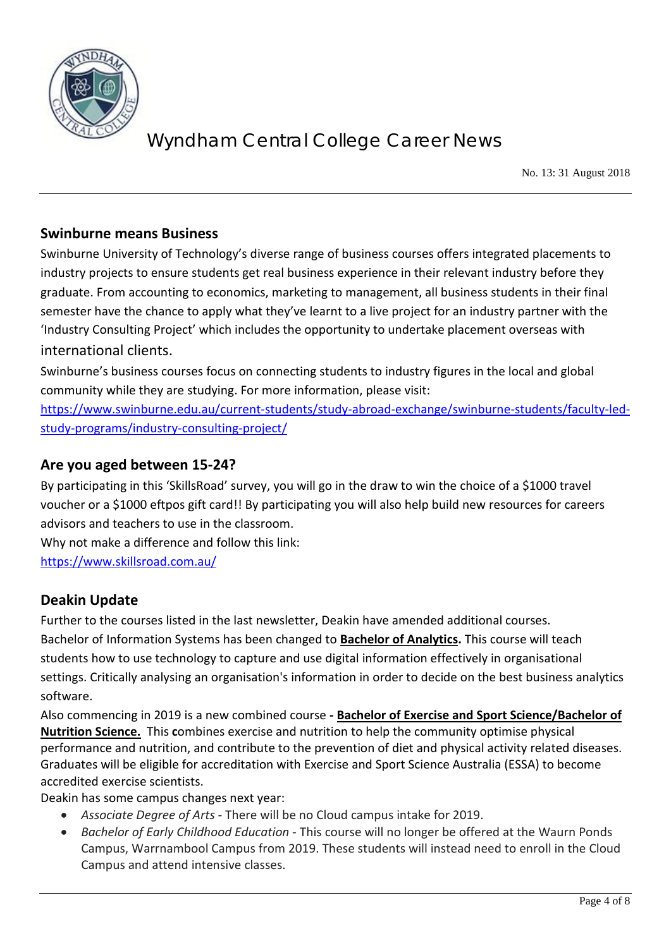

No. 13: 31 August 2018

#### **Swinburne means Business**

Swinburne University of Technology's diverse range of business courses offers integrated placements to industry projects to ensure students get real business experience in their relevant industry before they graduate. From accounting to economics, marketing to management, all business students in their final semester have the chance to apply what they've learnt to a live project for an industry partner with the 'Industry Consulting Project' which includes the opportunity to undertake placement overseas with international clients.

Swinburne's business courses focus on connecting students to industry figures in the local and global community while they are studying. For more information, please visit:

[https://www.swinburne.edu.au/current-students/study-abroad-exchange/swinburne-students/faculty-led](https://www.swinburne.edu.au/current-students/study-abroad-exchange/swinburne-students/faculty-led-study-programs/industry-consulting-project/)[study-programs/industry-consulting-project/](https://www.swinburne.edu.au/current-students/study-abroad-exchange/swinburne-students/faculty-led-study-programs/industry-consulting-project/)

#### **Are you aged between 15-24?**

By participating in this 'SkillsRoad' survey, you will go in the draw to win the choice of a \$1000 travel voucher or a \$1000 eftpos gift card!! By participating you will also help build new resources for careers advisors and teachers to use in the classroom.

Why not make a difference and follow this link:

<https://www.skillsroad.com.au/>

### **Deakin Update**

Further to the courses listed in the last newsletter, Deakin have amended additional courses. Bachelor of Information Systems has been changed to **Bachelor of Analytics.** This course will teach students how to use technology to capture and use digital information effectively in organisational settings. Critically analysing an organisation's information in order to decide on the best business analytics software.

Also commencing in 2019 is a new combined course **- Bachelor of Exercise and Sport Science/Bachelor of Nutrition Science.** This **c**ombines exercise and nutrition to help the community optimise physical performance and nutrition, and contribute to the prevention of diet and physical activity related diseases. Graduates will be eligible for accreditation with Exercise and Sport Science Australia (ESSA) to become accredited exercise scientists.

Deakin has some campus changes next year:

- *Associate Degree of Arts -* There will be no Cloud campus intake for 2019.
- *Bachelor of Early Childhood Education -* This course will no longer be offered at the Waurn Ponds Campus, Warrnambool Campus from 2019. These students will instead need to enroll in the Cloud Campus and attend intensive classes.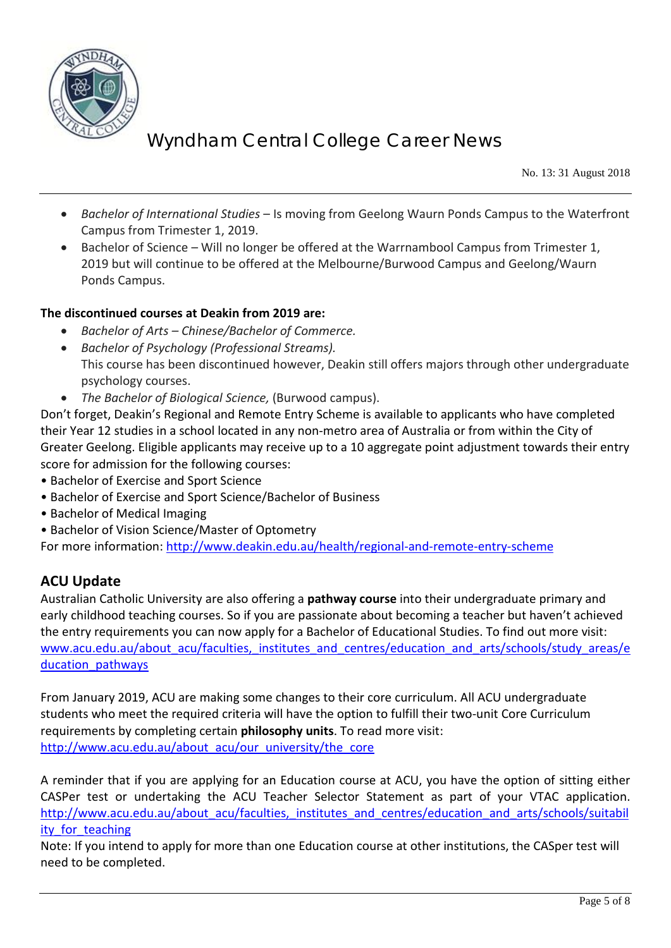

No. 13: 31 August 2018

- *Bachelor of International Studies* Is moving from Geelong Waurn Ponds Campus to the Waterfront Campus from Trimester 1, 2019.
- Bachelor of Science Will no longer be offered at the Warrnambool Campus from Trimester 1, 2019 but will continue to be offered at the Melbourne/Burwood Campus and Geelong/Waurn Ponds Campus.

#### **The discontinued courses at Deakin from 2019 are:**

- *Bachelor of Arts – Chinese/Bachelor of Commerce.*
- *Bachelor of Psychology (Professional Streams).* This course has been discontinued however, Deakin still offers majors through other undergraduate psychology courses.
- *The Bachelor of Biological Science,* (Burwood campus).

Don't forget, Deakin's Regional and Remote Entry Scheme is available to applicants who have completed their Year 12 studies in a school located in any non-metro area of Australia or from within the City of Greater Geelong. Eligible applicants may receive up to a 10 aggregate point adjustment towards their entry score for admission for the following courses:

- Bachelor of Exercise and Sport Science
- Bachelor of Exercise and Sport Science/Bachelor of Business
- Bachelor of Medical Imaging
- Bachelor of Vision Science/Master of Optometry

For more information:<http://www.deakin.edu.au/health/regional-and-remote-entry-scheme>

### **ACU Update**

Australian Catholic University are also offering a **pathway course** into their undergraduate primary and early childhood teaching courses. So if you are passionate about becoming a teacher but haven't achieved the entry requirements you can now apply for a Bachelor of Educational Studies. To find out more visit: [www.acu.edu.au/about\\_acu/faculties,\\_institutes\\_and\\_centres/education\\_and\\_arts/schools/study\\_areas/e](http://www.acu.edu.au/about_acu/faculties,_institutes_and_centres/education_and_arts/schools/study_areas/education_pathways) ducation pathways

From January 2019, ACU are making some changes to their core curriculum. All ACU undergraduate students who meet the required criteria will have the option to fulfill their two-unit Core Curriculum requirements by completing certain **philosophy units**. To read more visit: [http://www.acu.edu.au/about\\_acu/our\\_university/the\\_core](http://www.acu.edu.au/about_acu/our_university/the_core)

A reminder that if you are applying for an Education course at ACU, you have the option of sitting either CASPer test or undertaking the ACU Teacher Selector Statement as part of your VTAC application. http://www.acu.edu.au/about\_acu/faculties, institutes and centres/education and arts/schools/suitabil ity for teaching

Note: If you intend to apply for more than one Education course at other institutions, the CASper test will need to be completed.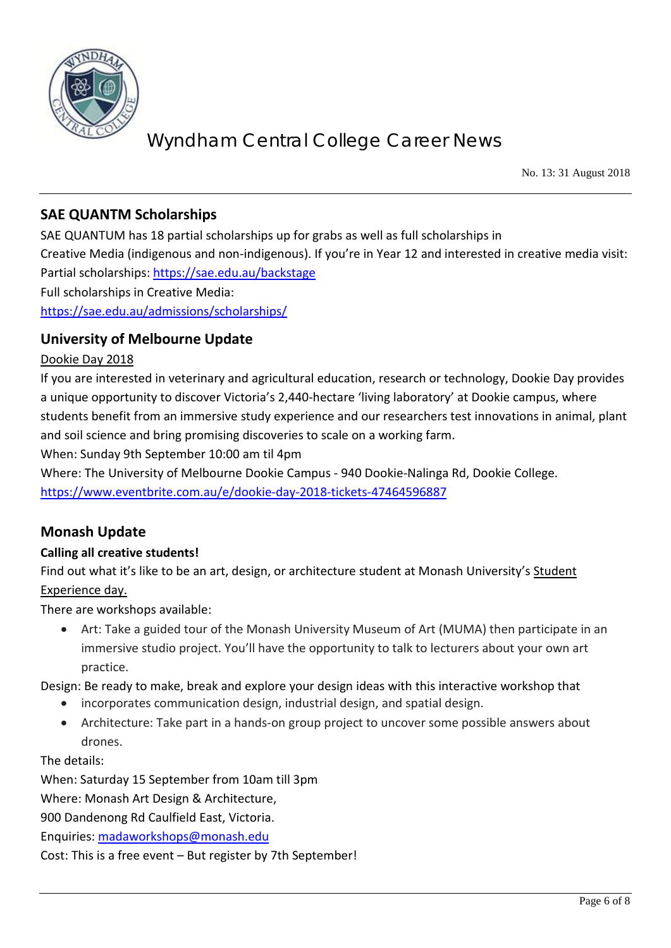

No. 13: 31 August 2018

### **SAE QUANTM Scholarships**

SAE QUANTUM has 18 partial scholarships up for grabs as well as full scholarships in Creative Media (indigenous and non-indigenous). If you're in Year 12 and interested in creative media visit: Partial scholarships:<https://sae.edu.au/backstage> Full scholarships in Creative Media: <https://sae.edu.au/admissions/scholarships/>

#### **University of Melbourne Update**

#### Dookie Day 2018

If you are interested in veterinary and agricultural education, research or technology, Dookie Day provides a unique opportunity to discover Victoria's 2,440-hectare 'living laboratory' at Dookie campus, where students benefit from an immersive study experience and our researchers test innovations in animal, plant and soil science and bring promising discoveries to scale on a working farm.

When: Sunday 9th September 10:00 am til 4pm

Where: The University of Melbourne Dookie Campus - 940 Dookie-Nalinga Rd, Dookie College. <https://www.eventbrite.com.au/e/dookie-day-2018-tickets-47464596887>

### **Monash Update**

#### **Calling all creative students!**

Find out what it's like to be an art, design, or architecture student at Monash University's Student Experience day.

There are workshops available:

• Art: Take a guided tour of the Monash University Museum of Art (MUMA) then participate in an immersive studio project. You'll have the opportunity to talk to lecturers about your own art practice.

Design: Be ready to make, break and explore your design ideas with this interactive workshop that

- incorporates communication design, industrial design, and spatial design.
- Architecture: Take part in a hands-on group project to uncover some possible answers about drones.

The details:

When: Saturday 15 September from 10am till 3pm

Where: Monash Art Design & Architecture,

900 Dandenong Rd Caulfield East, Victoria.

Enquiries: [madaworkshops@monash.edu](mailto:madaworkshops@monash.edu)

Cost: This is a free event – But register by 7th September!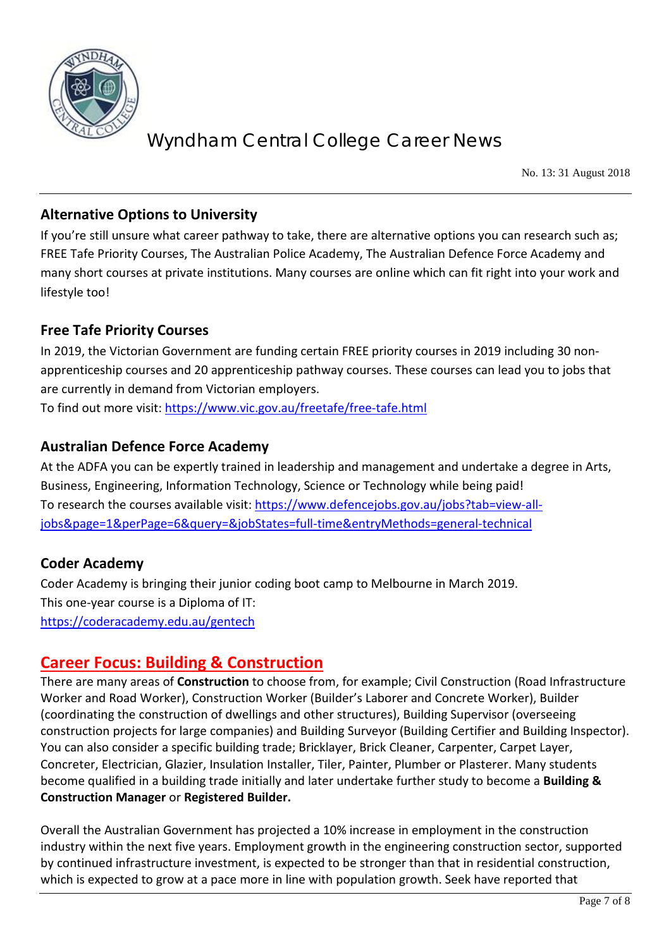

No. 13: 31 August 2018

### **Alternative Options to University**

If you're still unsure what career pathway to take, there are alternative options you can research such as; FREE Tafe Priority Courses, The Australian Police Academy, The Australian Defence Force Academy and many short courses at private institutions. Many courses are online which can fit right into your work and lifestyle too!

### **Free Tafe Priority Courses**

In 2019, the Victorian Government are funding certain FREE priority courses in 2019 including 30 nonapprenticeship courses and 20 apprenticeship pathway courses. These courses can lead you to jobs that are currently in demand from Victorian employers.

To find out more visit: <https://www.vic.gov.au/freetafe/free-tafe.html>

### **Australian Defence Force Academy**

At the ADFA you can be expertly trained in leadership and management and undertake a degree in Arts, Business, Engineering, Information Technology, Science or Technology while being paid! To research the courses available visit: [https://www.defencejobs.gov.au/jobs?tab=view-all](https://www.defencejobs.gov.au/jobs?tab=view-all-jobs&page=1&perPage=6&query=&jobStates=full-time&entryMethods=general-technical)[jobs&page=1&perPage=6&query=&jobStates=full-time&entryMethods=general-technical](https://www.defencejobs.gov.au/jobs?tab=view-all-jobs&page=1&perPage=6&query=&jobStates=full-time&entryMethods=general-technical)

### **Coder Academy**

Coder Academy is bringing their junior coding boot camp to Melbourne in March 2019. This one-year course is a Diploma of IT: <https://coderacademy.edu.au/gentech>

### **Career Focus: Building & Construction**

There are many areas of **Construction** to choose from, for example; Civil Construction (Road Infrastructure Worker and Road Worker), Construction Worker (Builder's Laborer and Concrete Worker), Builder (coordinating the construction of dwellings and other structures), Building Supervisor (overseeing construction projects for large companies) and Building Surveyor (Building Certifier and Building Inspector). You can also consider a specific building trade; Bricklayer, Brick Cleaner, Carpenter, Carpet Layer, Concreter, Electrician, Glazier, Insulation Installer, Tiler, Painter, Plumber or Plasterer. Many students become qualified in a building trade initially and later undertake further study to become a **Building & Construction Manager** or **Registered Builder.** 

Overall the Australian Government has projected a 10% increase in employment in the construction industry within the next five years. Employment growth in the engineering construction sector, supported by continued infrastructure investment, is expected to be stronger than that in residential construction, which is expected to grow at a pace more in line with population growth. Seek have reported that